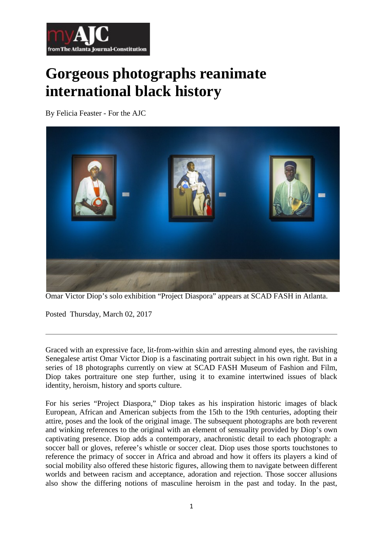

## **Gorgeous photographs reanimate international black history**

By Felicia Feaster - For the AJC



Omar Victor Diop's solo exhibition "Project Diaspora" appears at SCAD FASH in Atlanta.

Posted Thursday, March 02, 2017

Graced with an expressive face, lit-from-within skin and arresting almond eyes, the ravishing Senegalese artist Omar Victor Diop is a fascinating portrait subject in his own right. But in a series of 18 photographs currently on view at SCAD FASH Museum of Fashion and Film, Diop takes portraiture one step further, using it to examine intertwined issues of black identity, heroism, history and sports culture.

For his series "Project Diaspora," Diop takes as his inspiration historic images of black European, African and American subjects from the 15th to the 19th centuries, adopting their attire, poses and the look of the original image. The subsequent photographs are both reverent and winking references to the original with an element of sensuality provided by Diop's own captivating presence. Diop adds a contemporary, anachronistic detail to each photograph: a soccer ball or gloves, referee's whistle or soccer cleat. Diop uses those sports touchstones to reference the primacy of soccer in Africa and abroad and how it offers its players a kind of social mobility also offered these historic figures, allowing them to navigate between different worlds and between racism and acceptance, adoration and rejection. Those soccer allusions also show the differing notions of masculine heroism in the past and today. In the past,